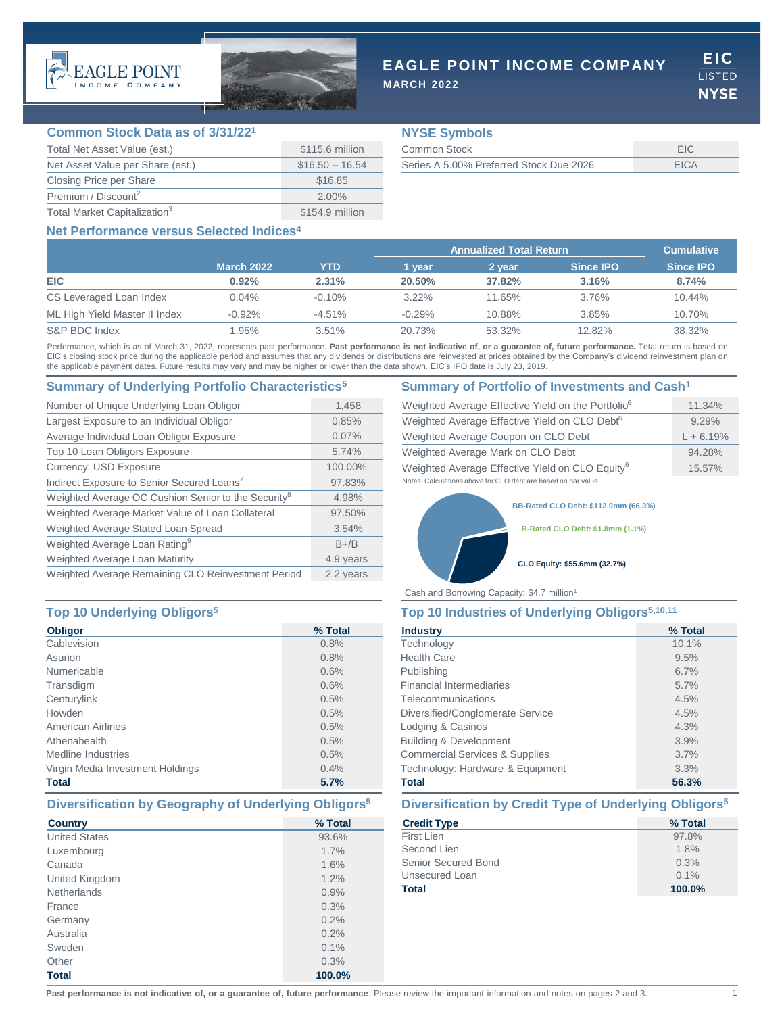



# **EAGLE POINT INCOME COMPANY**

**MARCH 2022**

**EIC LISTED NYSE** 

### **Common Stock Data as of 3/31/22<sup>1</sup>**

| Total Net Asset Value (est.)             | \$115.6 million  |
|------------------------------------------|------------------|
| Net Asset Value per Share (est.)         | $$16.50 - 16.54$ |
| Closing Price per Share                  | \$16.85          |
| Premium / Discount <sup>2</sup>          | $2.00\%$         |
| Total Market Capitalization <sup>3</sup> | \$154.9 million  |

## **NYSE Symbols**

| Common Stock                            |             |
|-----------------------------------------|-------------|
| Series A 5.00% Preferred Stock Due 2026 | <b>FICA</b> |

## **Net Performance versus Selected Indices4**

|                               |                   |           | <b>Annualized Total Return</b> |        |                  | <b>Cumulative</b> |
|-------------------------------|-------------------|-----------|--------------------------------|--------|------------------|-------------------|
|                               | <b>March 2022</b> | YTD       | l vear                         | 2 vear | <b>Since IPO</b> | <b>Since IPO</b>  |
| <b>EIC</b>                    | 0.92%             | 2.31%     | 20.50%                         | 37.82% | 3.16%            | 8.74%             |
| CS Leveraged Loan Index       | $0.04\%$          | $-0.10\%$ | $3.22\%$                       | 11.65% | 3.76%            | 10.44%            |
| ML High Yield Master II Index | $-0.92\%$         | $-4.51\%$ | $-0.29%$                       | 10.88% | 3.85%            | 10.70%            |
| S&P BDC Index                 | 1.95%             | 3.51%     | 20.73%                         | 53.32% | 12.82%           | 38.32%            |

Performance, which is as of March 31, 2022, represents past performance. Past performance is not indicative of, or a guarantee of, future performance. Total return is based on EIC's closing stock price during the applicable period and assumes that any dividends or distributions are reinvested at prices obtained by the Company's dividend reinvestment plan on the applicable payment dates. Future results may vary and may be higher or lower than the data shown. EIC's IPO date is July 23, 2019.

### **Summary of Underlying Portfolio Characteristics<sup>5</sup> Summary of Portfolio of Investments and Cash<sup>1</sup>**

| Number of Unique Underlying Loan Obligor                        | 1,458     |
|-----------------------------------------------------------------|-----------|
| Largest Exposure to an Individual Obligor                       | 0.85%     |
| Average Individual Loan Obligor Exposure                        | 0.07%     |
| Top 10 Loan Obligors Exposure                                   | 5.74%     |
| <b>Currency: USD Exposure</b>                                   | 100.00%   |
| Indirect Exposure to Senior Secured Loans <sup>7</sup>          | 97.83%    |
| Weighted Average OC Cushion Senior to the Security <sup>8</sup> | 4.98%     |
| Weighted Average Market Value of Loan Collateral                | 97.50%    |
| Weighted Average Stated Loan Spread                             | 3.54%     |
| Weighted Average Loan Rating <sup>9</sup>                       | $B+/B$    |
| Weighted Average Loan Maturity                                  | 4.9 years |
| Weighted Average Remaining CLO Reinvestment Period              | 2.2 years |

## **Top 10 Underlying Obligors<sup>5</sup> Top 10 Industries of Underlying Obligors5,10,11**

| <b>Obligor</b>                   | % Total |
|----------------------------------|---------|
| Cablevision                      | 0.8%    |
| Asurion                          | 0.8%    |
| Numericable                      | 0.6%    |
| Transdigm                        | 0.6%    |
| Centurylink                      | 0.5%    |
| Howden                           | 0.5%    |
| American Airlines                | 0.5%    |
| Athenahealth                     | 0.5%    |
| Medline Industries               | 0.5%    |
| Virgin Media Investment Holdings | 0.4%    |
| <b>Total</b>                     | 5.7%    |

## **Diversification by Geography of Underlying Obligors<sup>5</sup> Diversification by Credit Type of Underlying Obligors<sup>5</sup>**

| <b>Country</b>       | % Total |
|----------------------|---------|
| <b>United States</b> | 93.6%   |
| Luxembourg           | 1.7%    |
| Canada               | 1.6%    |
| United Kingdom       | 1.2%    |
| <b>Netherlands</b>   | 0.9%    |
| France               | 0.3%    |
| Germany              | 0.2%    |
| Australia            | 0.2%    |
| Sweden               | 0.1%    |
| Other                | 0.3%    |
| <b>Total</b>         | 100.0%  |

| Weighted Average Effective Yield on the Portfolio <sup>6</sup> | 11.34%      |
|----------------------------------------------------------------|-------------|
| Weighted Average Effective Yield on CLO Debt <sup>6</sup>      | 9.29%       |
| Weighted Average Coupon on CLO Debt                            | $L + 6.19%$ |
| Weighted Average Mark on CLO Debt                              | 94.28%      |
| Weighted Average Effective Yield on CLO Equity <sup>6</sup>    | $15.57\%$   |
| Notes: Calculations above for CLO debt are based on par value. |             |

**BB-Rated CLO Debt: \$112.9mm (66.3%)**

**B-Rated CLO Debt: \$1.8mm (1.1%)**

### **CLO Equity: \$55.6mm (32.7%)**

Cash and Borrowing Capacity: \$4.7 million<sup>1</sup>

| <b>Industry</b>                           | % Total |
|-------------------------------------------|---------|
| Technology                                | 10.1%   |
| <b>Health Care</b>                        | 9.5%    |
| Publishing                                | 6.7%    |
| <b>Financial Intermediaries</b>           | 5.7%    |
| Telecommunications                        | 4.5%    |
| Diversified/Conglomerate Service          | 4.5%    |
| Lodging & Casinos                         | 4.3%    |
| <b>Building &amp; Development</b>         | 3.9%    |
| <b>Commercial Services &amp; Supplies</b> | 3.7%    |
| Technology: Hardware & Equipment          | 3.3%    |
| <b>Total</b>                              | 56.3%   |

| <b>Credit Type</b>  | % Total |
|---------------------|---------|
| First Lien          | 97.8%   |
| Second Lien         | 1.8%    |
| Senior Secured Bond | 0.3%    |
| Unsecured Loan      | $0.1\%$ |
| <b>Total</b>        | 100.0%  |

Past performance is not indicative of, or a guarantee of, future performance. Please review the important information and notes on pages 2 and 3.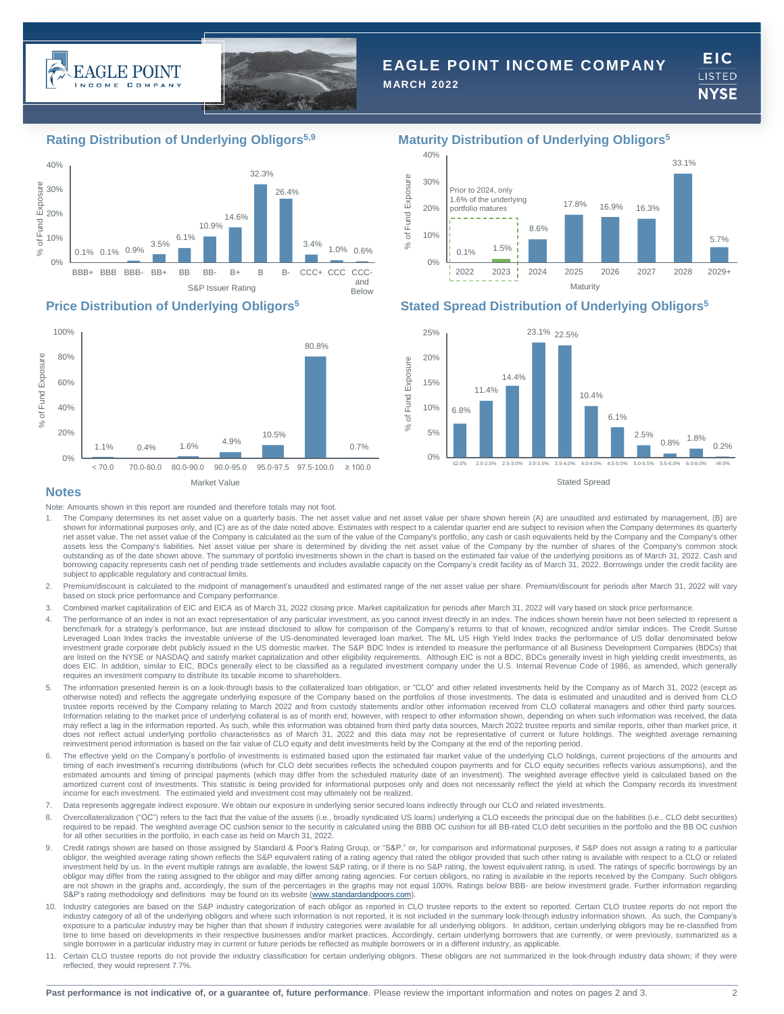



# **EAGLE POINT INCOME COMPANY**

**MARCH 2022**

**EIC** LISTED **NYSE** 

# **Rating Distribution of Underlying Obligors5,9 Maturity Distribution of Underlying Obligors<sup>5</sup>**







## **Price Distribution of Underlying Obligors<sup>5</sup> Stated Spread Distribution of Underlying Obligors<sup>5</sup>**



### **Notes**

Note: Amounts shown in this report are rounded and therefore totals may not foot.

- 1. The Company determines its net asset value on a quarterly basis. The net asset value and net asset value per share shown herein (A) are unaudited and estimated by management, (B) are shown for informational purposes only, and (C) are as of the date noted above. Estimates with respect to a calendar quarter end are subject to revision when the Company determines its quarterly net asset value. The net asset value of the Company is calculated as the sum of the value of the Company's portfolio, any cash or cash equivalents held by the Company and the Company's other assets less the Company's liabilities. Net asset value per share is determined by dividing the net asset value of the Company by the number of shares of the Company's common stock outstanding as of the date shown above. The summary of portfolio investments shown in the chart is based on the estimated fair value of the underlying positions as of March 31, 2022. Cash and<br>borrowing capacity represents subject to applicable regulatory and contractual limits.
- 2. Premium/discount is calculated to the midpoint of management's unaudited and estimated range of the net asset value per share. Premium/discount for periods after March 31, 2022 will vary<br>based on stock price performance
- 3. Combined market capitalization of EIC and EICA as of March 31, 2022 closing price. Market capitalization for periods after March 31, 2022 will vary based on stock price performance.
- 4. The performance of an index is not an exact representation of any particular investment, as you cannot invest directly in an index. The indices shown herein have not been selected to represent a benchmark for a strategy's performance, but are instead disclosed to allow for comparison of the Company's returns to that of known, recognized and/or similar indices. The Credit Suisse Leveraged Loan Index tracks the investable universe of the US-denominated leveraged loan market. The ML US High Yield Index tracks the performance of US dollar denominated below<br>investment grade corporate debt publicly iss are listed on the NYSE or NASDAQ and satisfy market capitalization and other eligibility requirements. Although EIC is not a BDC, BDCs generally invest in high yielding credit investments, as does EIC. In addition, similar to EIC, BDCs generally elect to be classified as a regulated investment company under the U.S. Internal Revenue Code of 1986, as amended, which generally requires an investment company to distribute its taxable income to shareholders.
- 5. The information presented herein is on a look-through basis to the collateralized loan obligation, or "CLO" and other related investments held by the Company as of March 31, 2022 (except as otherwise noted) and reflects the aggregate underlying exposure of the Company based on the portfolios of those investments. The data is estimated and unaudited and is derived from CLO trustee reports received by the Company relating to March 2022 and from custody statements and/or other information received from CLO collateral managers and other third party sources. Information relating to the market price of underlying collateral is as of month end; however, with respect to other information shown, depending on when such information was received, the data may reflect a lag in the information reported. As such, while this information was obtained from third party data sources, March 2022 trustee reports and similar reports, other than market price, it does not reflect actual underlying portfolio characteristics as of March 31, 2022 and this data may not be representative of current or future holdings. The weighted average remaining reinvestment period information is based on the fair value of CLO equity and debt investments held by the Company at the end of the reporting period.
- 6. The effective yield on the Company's portfolio of investments is estimated based upon the estimated fair market value of the underlying CLO holdings, current projections of the amounts and timing of each investment's recurring distributions (which for CLO debt securities reflects the scheduled coupon payments and for CLO equity securities reflects various assumptions), and the estimated amounts and timing of principal payments (which may differ from the scheduled maturity date of an investment). The weighted average effective yield is calculated based on the amortized current cost of investments. This statistic is being provided for informational purposes only and does not necessarily reflect the yield at which the Company records its investment income for each investment. The estimated yield and investment cost may ultimately not be realized.
- 7. Data represents aggregate indirect exposure. We obtain our exposure in underlying senior secured loans indirectly through our CLO and related investments.
- 8. Overcollateralization ("OC") refers to the fact that the value of the assets (i.e., broadly syndicated US loans) underlying a CLO exceeds the principal due on the liabilities (i.e., CLO debt securities) required to be repaid. The weighted average OC cushion senior to the security is calculated using the BBB OC cushion for all BB-rated CLO debt securities in the portfolio and the BB OC cushion for all other securities in the portfolio, in each case as held on March 31, 2022.
- Credit ratings shown are based on those assigned by Standard & Poor's Rating Group, or "S&P," or, for comparison and informational purposes, if S&P does not assign a rating to a particular obligor, the weighted average rating shown reflects the S&P equivalent rating of a rating agency that rated the obligor provided that such other rating is available with respect to a CLO or related investment held by us. In the event multiple ratings are available, the lowest S&P rating, or if there is no S&P rating, the lowest equivalent rating, is used. The ratings of specific borrowings by an<br>obligor may differ fr are not shown in the graphs and, accordingly, the sum of the percentages in the graphs may not equal 100%. Ratings below BBB- are below investment grade. Further information regarding S&P's rating methodology and definitions may be found on its website ([www.standardandpoors.com](http://www.standardandpoors.com/)).
- 10. Industry categories are based on the S&P industry categorization of each obligor as reported in CLO trustee reports to the extent so reported. Certain CLO trustee reports do not report the industry category of all of the underlying obligors and where such information is not reported, it is not included in the summary look-through industry information shown. As such, the Company's exposure to a particular industry may be higher than that shown if industry categories were available for all underlying obligors. In addition, certain underlying obligors may be re-classified from time to time based on developments in their respective businesses and/or market practices. Accordingly, certain underlying borrowers that are currently, or were previously, summarized as a single borrower in a particular industry may in current or future periods be reflected as multiple borrowers or in a different industry, as applicable.
- Certain CLO trustee reports do not provide the industry classification for certain underlying obligors. These obligors are not summarized in the look-through industry data shown; if they were reflected, they would represent 7.7%.